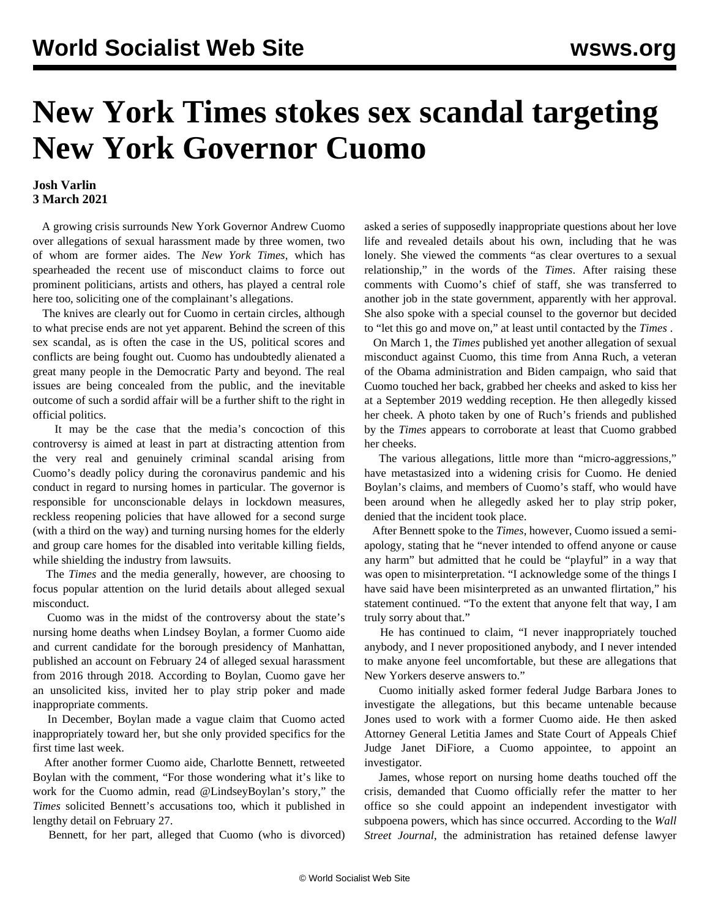## **New York Times stokes sex scandal targeting New York Governor Cuomo**

## **Josh Varlin 3 March 2021**

 A growing crisis surrounds New York Governor Andrew Cuomo over allegations of sexual harassment made by three women, two of whom are former aides. The *New York Times*, which has spearheaded the recent use of misconduct claims to force out prominent politicians, artists and others, has played a central role here too, soliciting one of the complainant's allegations.

 The knives are clearly out for Cuomo in certain circles, although to what precise ends are not yet apparent. Behind the screen of this sex scandal, as is often the case in the US, political scores and conflicts are being fought out. Cuomo has undoubtedly alienated a great many people in the Democratic Party and beyond. The real issues are being concealed from the public, and the inevitable outcome of such a sordid affair will be a further shift to the right in official politics.

 It may be the case that the media's concoction of this controversy is aimed at least in part at distracting attention from the very real and genuinely criminal scandal arising from Cuomo's deadly policy during the coronavirus pandemic and his conduct in regard to nursing homes in particular. The governor is responsible for unconscionable delays in lockdown measures, reckless reopening policies that have allowed for a second surge (with a third on the way) and turning nursing homes for the elderly and group care homes for the disabled into veritable killing fields, while shielding the industry from lawsuits.

 The *Times* and the media generally, however, are choosing to focus popular attention on the lurid details about alleged sexual misconduct.

 Cuomo was in the midst of the controversy about the state's nursing home deaths when Lindsey Boylan, a former Cuomo aide and current candidate for the borough presidency of Manhattan, published an account on February 24 of alleged sexual harassment from 2016 through 2018. According to Boylan, Cuomo gave her an unsolicited kiss, invited her to play strip poker and made inappropriate comments.

 In December, Boylan made a vague claim that Cuomo acted inappropriately toward her, but she only provided specifics for the first time last week.

 After another former Cuomo aide, Charlotte Bennett, retweeted Boylan with the comment, "For those wondering what it's like to work for the Cuomo admin, read @LindseyBoylan's story," the *Times* solicited Bennett's accusations too, which it published in lengthy detail on February 27.

Bennett, for her part, alleged that Cuomo (who is divorced)

asked a series of supposedly inappropriate questions about her love life and revealed details about his own, including that he was lonely. She viewed the comments "as clear overtures to a sexual relationship," in the words of the *Times*. After raising these comments with Cuomo's chief of staff, she was transferred to another job in the state government, apparently with her approval. She also spoke with a special counsel to the governor but decided to "let this go and move on," at least until contacted by the *Times* .

 On March 1, the *Times* published yet another allegation of sexual misconduct against Cuomo, this time from Anna Ruch, a veteran of the Obama administration and Biden campaign, who said that Cuomo touched her back, grabbed her cheeks and asked to kiss her at a September 2019 wedding reception. He then allegedly kissed her cheek. A photo taken by one of Ruch's friends and published by the *Times* appears to corroborate at least that Cuomo grabbed her cheeks.

 The various allegations, little more than "micro-aggressions," have metastasized into a widening crisis for Cuomo. He denied Boylan's claims, and members of Cuomo's staff, who would have been around when he allegedly asked her to play strip poker, denied that the incident took place.

 After Bennett spoke to the *Times*, however, Cuomo issued a semiapology, stating that he "never intended to offend anyone or cause any harm" but admitted that he could be "playful" in a way that was open to misinterpretation. "I acknowledge some of the things I have said have been misinterpreted as an unwanted flirtation," his statement continued. "To the extent that anyone felt that way, I am truly sorry about that."

 He has continued to claim, "I never inappropriately touched anybody, and I never propositioned anybody, and I never intended to make anyone feel uncomfortable, but these are allegations that New Yorkers deserve answers to."

 Cuomo initially asked former federal Judge Barbara Jones to investigate the allegations, but this became untenable because Jones used to work with a former Cuomo aide. He then asked Attorney General Letitia James and State Court of Appeals Chief Judge Janet DiFiore, a Cuomo appointee, to appoint an investigator.

 James, whose report on nursing home deaths touched off the crisis, demanded that Cuomo officially refer the matter to her office so she could appoint an independent investigator with subpoena powers, which has since occurred. According to the *Wall Street Journal*, the administration has retained defense lawyer